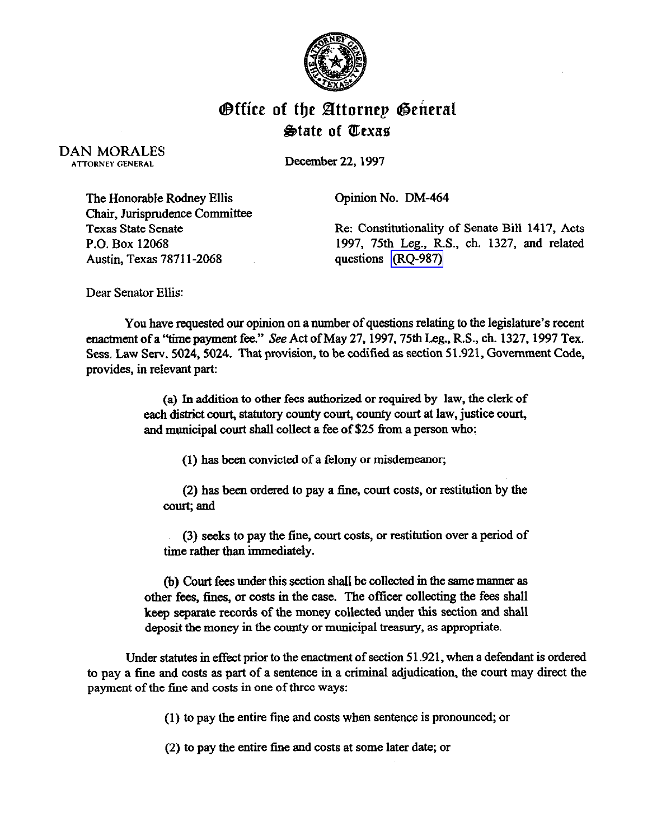

## **Office of the Attornep General** State of fLexas

DAN MORALES ATTORNEY GENERAL

December 22,1997

Opinion No. DM-464

The Honorable Rodney Ellis Chair, Jurisprudence Committee Texas State Senate P.O. Box 12068 Austin, Texas 7871 l-2068

Re: Constitutionality of Senate Bill 1417, Acts 1997, 75th Leg., R.S., ch. 1327, and related questions [\(RQ-987\)](http://intranet1.oag.state.tx.us/opinions/requests/rq0987.pdf) 

Dear Senator Ellis:

You have requested our opinion on a number of questions relating to the legislature's recent enactment of a "time payment fee." See Act of May 27, 1997, 75th Leg., R.S., ch. 1327, 1997 Tex. Sess. Law Serv. 5024, 5024. That provision, to be codified as section 51.921, Government Code, provides, in relevant part:

> (a) Jn addition to other fees authorized or required by law, the clerk of each district court, statutory county court, county court at law, justice court, and municipal court shall collect a fee of \$25 from a person who:

> > (1) has been convicted of a felony or misdemeanor;

(2) has been ordered to pay a fine, court costs, or restitution by the court; and

(3) seeks to pay the fine, court costs, or restitution over a period of time rather than immediately.

(b) Court fees under this section shall be collected in the same manner as other fees, fines, or costs in the case. The officer collecting the fees shall keep separate records of the money collected under this section and shall deposit the money in the county or municipal treasury, as appropriate.

Under statutes in effect prior to the enactment of section 51.921, when a defendant is ordered to pay a fine and costs as part of a sentence in a criminal adjudication, the court may direct the payment of the fine and costs in one of three ways:

(1) to pay the entire fine and costs when sentence is pronounced, or

(2) to pay the entire fine and costs at some later date; or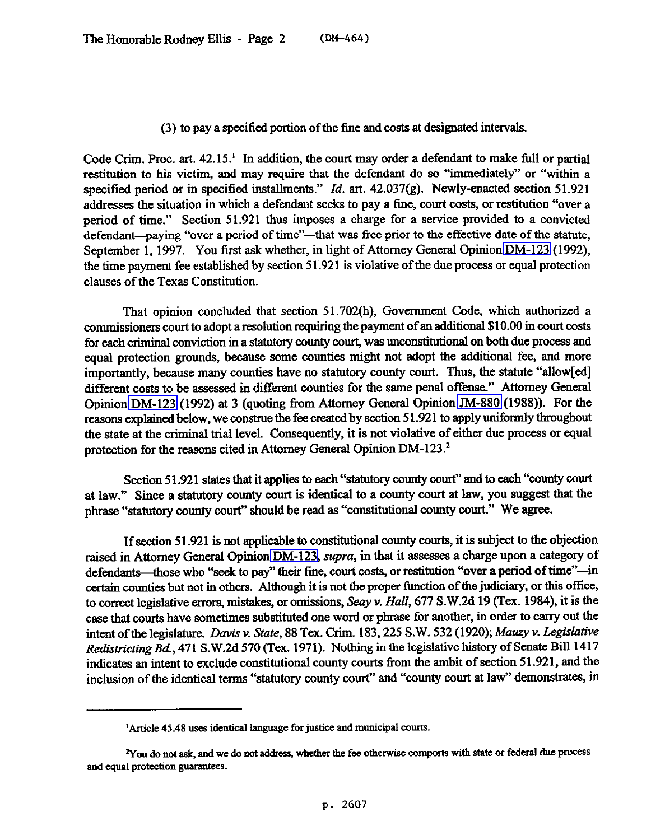## *(3)* to pay a specified portion of the fine and costs at designated intervals.

Code Crim. Proc. art.  $42.15<sup>1</sup>$  In addition, the court may order a defendant to make full or partial restitution to his victim, and may require that the defendant do so "immediately" or 'within a specified period or in specified installments." *Id.* art. 42.037(g). Newly-enacted section 51.921 addresses the situation in which a defendant seeks to pay a fine, court costs, or restitution "over a period of time." Section 51.921 thus imposes a charge for a service provided to a convicted defendant—paying "over a period of time"—that was free prior to the effective date of the statute, September 1, 1997. You first ask whether, in light of Attorney General Opinion [DM-123](http://intranet1.oag.state.tx.us/opinions/dm/dm123.pdf) (1992), the time payment fee established by section 51.921 is violative of the due process or equal protection clauses of the Texas Constitution.

That opinion concluded that section 51.702(h), Government Code, which authorized a commissioners court to adopt a resolution requiring the payment of an additional \$10.00 in court costs for each criminal conviction in a statutory county court, was unconstitutional on both due process and equal protection grounds, because some counties might not adopt the additional fee, and more importantly, because many counties have no statutory county court. Thus, the statute "allow[ed] different costs to be assessed in different counties for the same penal offense." Attorney General Opinion [DM-123](http://intranet1.oag.state.tx.us/opinions/dm/dm123.pdf) (1992) at 3 (quoting from Attorney General Opinion [JM-880](http://intranet1.oag.state.tx.us/opinions/jm/jm0880.pdf) (1988)). For the reasons explained below, we construe the fee created by section 5 1.921 to apply uniformly throughout the state at the criminal trial level. Consequently, it is not violative of either due process or equal protection for the reasons cited in Attorney General Opinion DM-123.<sup>2</sup>

Section 51.921 states that it applies to each "statutory county court" and to each "county court at law." Since a statutory county court is identical to a county court at law, you suggest that the phrase "statutory county court" should be read as "constitutional county court." We agree.

If section 51.921 is not applicable to constitutional county courts, it is subject to the objection raised in Attorney General Opinion [DM-123,](http://intranet1.oag.state.tx.us/opinions/dm/dm123.pdf) supra, in that it assesses a charge upon a category of defendants—those who "seek to pay" their fine, court costs, or restitution "over a period of time"--in certain counties but not in others. Although it is not the proper function of the judiciary, or this office, to correct legislative errors, mistakes, or omissions, Seay v. *Hall*, 677 S.W.2d 19 (Tex. 1984), it is the case that courts have sometimes substituted one word or phrase for another, in order to carry out the intent of the legislature. *Davis v. State*, 88 Tex. Crim. 183, 225 S.W. 532 (1920); Mauzy v. Legislative *RedistictingBd.,* 471 S.W.2d 570 (Tex. 1971). Nothing in the legislative history of Senate Bill 1417 indicates an intent to exclude constitutional county courts from the ambit of section 51.921, and the inclusion of the identical terms "statutory county court" and "county court at law" demonstrates, in

*<sup>&#</sup>x27;Article 45.48* **uses identical language for justice and municipal courts.** 

<sup>&</sup>lt;sup>2</sup>You do not ask, and we do not address, whether the fee otherwise comports with state or federal due process **and equal protection guarantees.**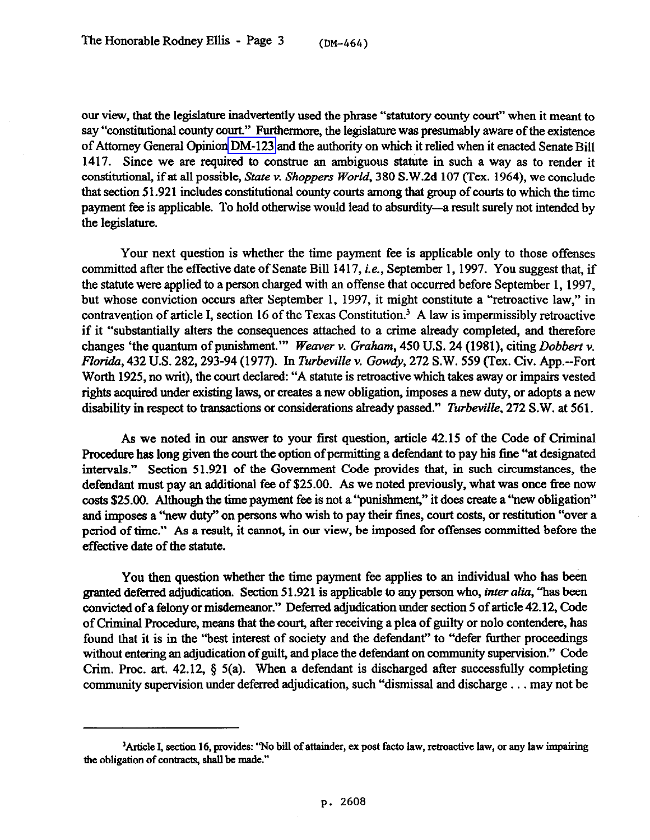our view, that the legislahue inadvertently used the phrase "statutory county court" when it meant to say "constitutional county court." Furthermore, the legislature was presumably aware of the existence of Attorney General Opinion [DM-123](http://intranet1.oag.state.tx.us/opinions/dm/dm123.pdf) and the authority on which it relied when it enacted Senate Bill 1417. Since we are required to construe an ambiguous statute in such a way as to render it constitutional, if at all possible, *State v. Shoppers World*, 380 S.W.2d 107 (Tex. 1964), we conclude that section 51.921 includes constitutional county courts among that group of courts to which the time payment fee is applicable. To hold otherwise would lead to absurdity-a result surely not intended by the legislature.

Your next question is whether the time payment fee is applicable only to those offenses committed after the effective date of Senate Bill 1417, *i.e.*, September 1, 1997. You suggest that, if the statute were applied to a person charged with an offense that occurred before September 1,1997, but whose conviction occurs after September 1, 1997, it might constitute a "retroactive law," in contravention of article I, section 16 of the Texas Constitution.' A law is impermissibly retroactive if it "substantially alters the consequences attached to a crime already completed, and therefore changes 'the quantum of punishment." *Weaver v. Graham*, 450 U.S. 24 (1981), citing *Dobbert v. Floriak, 432* U.S. *282,293-94* (1977). *In Turbeville* v. *Gowdy,* 272 S.W. 559 (Tex. Civ. App.--Fort Worth 1925, no writ), the court declared: "A statute is retroactive which takes away or impairs vested rights acquired under existing laws, or creates a new obligation, imposes a new duty, or adopts a new disability *in* respect to *trmsactions* or wnsiderations already passed." *Turbeville, 272* S.W. at 561.

As we noted in our answer to your first question, article 42.15 of the Code of Criminal Procedure has long given the court the option of permitting a defendant to pay his fine "at designated intervals." Section 51.921 of the Government Code provides that, in such circumstances, the defendant must pay an additional fee of \$25.00. As we noted previously, what was once free now costs \$25.00. Although the time payment fee is not a "punislnnent," it does create a "new obligation" and imposes a "new duty" on persons who wish to pay their fines, court costs, or restitution "over a period of time." As a result, it cannot, in our view, be imposed for offenses committed before the effective date of the statute.

You then question whether the time payment fee applies to an individual who has been granted deferred adjudication. Section 51.921 is applicable to any person who, *inter aliu, "has* been convicted of a felony or misdemeanor." Deferred adjudication under section 5 of article 42.12, Code of Criminal Procedure, means that the court, after receiving a plea of guilty or nolo contendere, has found that it is in the "best interest of society and the defendant" to "defer further proceedings without entering an adjudication of guilt, and place the defendant on community supervision." Code Crim. Proc. art. 42.12,  $\S$  5(a). When a defendant is discharged after successfully completing community supervision under deferred adjudication, such "dismissal and discharge . . . may not be

<sup>&</sup>lt;sup>3</sup>Article I, section 16, provides: "No bill of attainder, ex post facto law, retroactive law, or any law impairing **the obligation of contracts, shall be made."**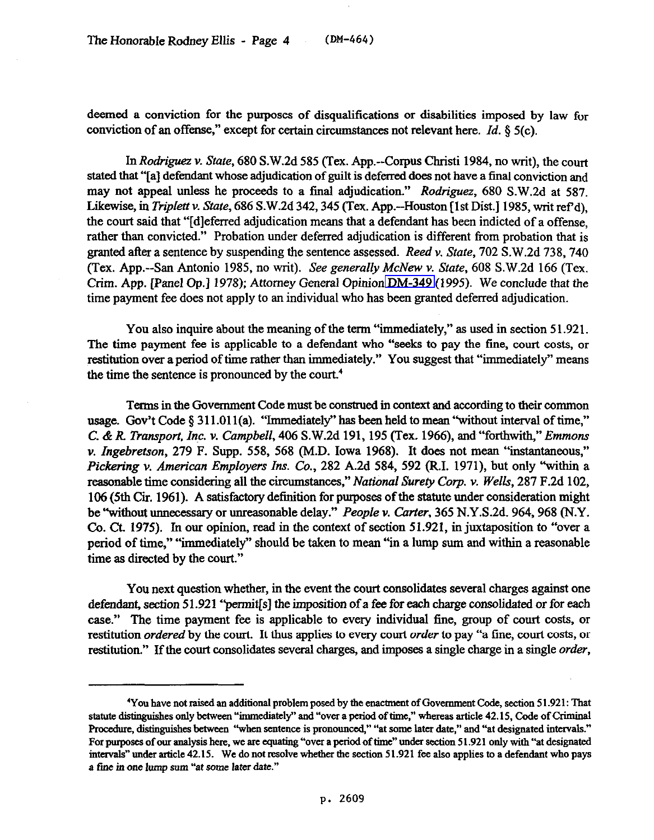deemed a conviction for the purposes of disqualifications or disabilities imposed by law for conviction of an offense," except for certain circumstances not relevant here. *Id. \$5(c).* 

*In Rodriguez v. State, 680* S.W.2d 585 (Tex. App.--Corpus Clnisti 1984, no writ), the court stated that "[a] defendant whose adjudication of guilt is deferred does not have a final conviction and may not appeal unless he proceeds to a final adjudication." *Rodriguez, 680* S.W.2d at 587. Likewise, *in Ttiplettv. State, 686* S.W.2d 342,345 (Tex. App.--Houston [lst Disk] 1985, writ ref d), the court said that "[dlefened adjudication means that a defendant has been indicted of a offense, rather than convicted." Probation under deferred adjudication is different from probation that is granted after a sentence by suspending the sentence assessed. *Reed v. State, 702* S.W.2d 738,740 (Tex. App.--San Antonio 1985, no writ). See *generally McNew v. State, 608* S.W.2d 166 (Tex. Crim. App. [Panel Op.] 1978); Attorney General Opinion [DM-349](http://intranet1.oag.state.tx.us/opinions/dm/dm349.pdf) (1995). We conclude that the time payment fee does not apply to an individual who has been granted deferred adjudication.

You also inquire about the meaning of the term "immediately," as used in section 51.921. The time payment fee is applicable to a defendant who "seeks to pay the fine, court costs, or restitution over a period of time rather than immediately." You suggest that "immediately" means the time the sentence is pronounced by the court.4

Terms in the Government Code must be construed in context and according to their common usage. Gov't Code  $\S 311.011(a)$ . "Immediately" has been held to mean "without interval of time," *C. & R Transport, Zn.c. v. Campbell, 406* S.W.2d 191, 195 (Tex. 1966), and "forthwith," *Emmons v. Zngebretson, 279* F. Supp. 558, 568 (M.D. Iowa 1968). It does not mean "instantaneous," *Pickering v. American Employers* Ins. Co., 282 A.2d 584, 592 (RI. 1971), but only "within a reasonable time considering all the circumstances," *National Surety Corp. v. Wells*, 287 F.2d 102, 106 (5th Cii. 1961). A satisfactory definition for purposes of the statute under consideration might be "without unnecessary or unreasonable delay." *People v. Carter, 365* N.Y.S.2d. 964,968 (N.Y. Co. Ct. 1975). In our opinion, read in the context of section 51.921, in juxtaposition to "over a period of time," "immediately" should be taken to mean "in a lump sum and within a reasonable time as directed by the court."

You next question whether, in the event the court consolidates several charges against one defendant, *section 5* 1.921 "pennit[s] the imposition of a fee for each charge consolidated or for each case." The time payment fee is applicable to every individual fine, group of court costs, or restitution *ordered* by the court. It thus applies to every *court order* to pay "a fine, court costs, or restitution" If the wurt consolidates *several charges,* and *imposes* a single charge *in* a single *order,* 

<sup>&</sup>lt;sup>4</sup>You have not raised an additional problem posed by the enactment of Government Code, section 51.921: That statute distinguishes only between "immediately" and "over a period of time," whereas article 42.15, Code of Criminal Procedure, distinguishes between "when sentence is pronounced," "at some later date," and "at designated intervals." **For purposes of oar analysis here, we are equating "over a period of time" uoder section 51.921 only with "at designated**  intervals" under article 42.15. We do not resolve whether the section 51.921 fee also applies to a defendant who pays **a fine in one hmp sum "'at some later date."**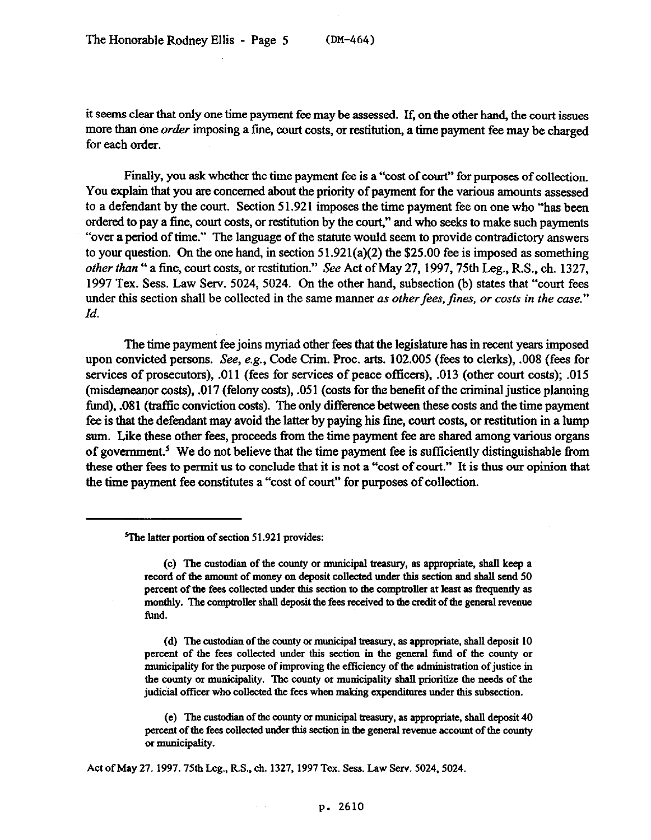it seems clear that only one time payment fee may be assessed. If, on the other hand, the court issues more than one *order* imposing a fine, court costs, or restitution, a time payment fee may be charged for each order.

Finally, you ask whether the time payment fee is a "cost of court" for purposes of collection. You explain that you are concerned about the priority of payment for the various amounts assessed to a defendant by the court. Section 5 1.921 imposes the time payment fee on one who "has been ordered to pay a fine, court costs, or restitution by the court," and who seeks to make such payments "over a period of time." The language of the statute would seem to provide contradictory answers to your question. On the one hand, in section  $51.921(a)(2)$  the \$25.00 fee is imposed as something *other than "* a fine, court costs, or restitution." See Act of May 27, 1997,75th Leg., R.S., ch. 1327, 1997 Tex. Sess. Law Serv. 5024, 5024. On the other hand, subsection (b) states that "court fees under this section shall be collected in the same manner *as other fees, fines, or costs in the case.*" *Id.* 

The time payment fee joins myriad other fees that the legislature has in recent years imposed upon convicted persons. See, e.g., Code Grim. Proc. arts. 102.005 (fees to clerks), .OOS (fees for services of prosecutors), .Oll (fees for services of peace officers), .013 (other court costs); .015 (misdemeanor costs), .017 (felony costs), .051 (costs for the benefit of the criminal justice planning fund), .081 (traffic conviction costs). The only difference between these costs and the time payment fee is that the defendant may avoid the latter by paying his fine, court costs, or restitution in a lump sum. Like these other fees, proceeds from the time payment fee are shared among various organs of government.<sup>5</sup> We do not believe that the time payment fee is sufficiently distinguishable from these other fees to permit us to conclude that it is not a "cost of court." It is thus our opinion that the time payment fee constitutes a "cost of court" for purposes of collection.

Act of May 27. 1997. 75th Leg., R.S., ch. 1327, 1997 Tex. Sess. Law Serv. 5024, 5024.

## **p. 2610**

<sup>&</sup>lt;sup>5</sup>The latter portion of section 51.921 provides:

**<sup>(</sup>c) The custodian of the county or municipal treasury, as appropriate, shall keep a**  record of the amount of money on deposit collected under this section and shall send 50 percent of the fees collected under this section to the comptroller at least as frequently as monthly. The comptroller shall deposit the fees received to the credit of the general revenue **fund.** 

<sup>(</sup>d) The custodian of the county or municipal treasury, as appropriate, shall deposit 10 **percent of the fees collected under this section in the general fund of the county or municipality for the purpose of improving the efficiency of the administration of justice in the county or municipality. The county or municipality shall prioritize the needs of the**  judicial officer who collected the fees when making expenditures under this subsection.

**<sup>(</sup>e)** The custodian of the county or municipal treasury, as appropriate, shall deposit 40 **percent of the fees collected under this section in the general revenue account of the county 01 municipality.**